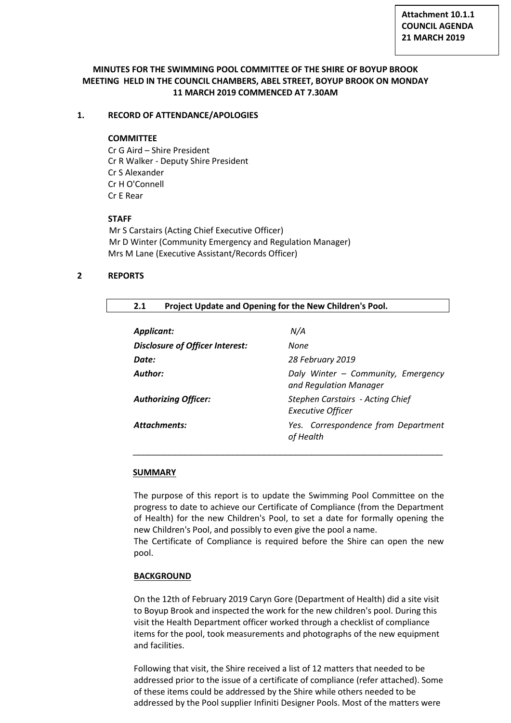# **MINUTES FOR THE SWIMMING POOL COMMITTEE OF THE SHIRE OF BOYUP BROOK MEETING HELD IN THE COUNCIL CHAMBERS, ABEL STREET, BOYUP BROOK ON MONDAY 11 MARCH 2019 COMMENCED AT 7.30AM**

# **1. RECORD OF ATTENDANCE/APOLOGIES**

## **COMMITTEE**

Cr G Aird – Shire President Cr R Walker - Deputy Shire President Cr S Alexander Cr H O'Connell Cr E Rear

# **STAFF**

Mr S Carstairs (Acting Chief Executive Officer) Mr D Winter (Community Emergency and Regulation Manager) Mrs M Lane (Executive Assistant/Records Officer)

# **2 REPORTS**

# **2.1 Project Update and Opening for the New Children's Pool.**

| Applicant:                             | N/A                                                                 |
|----------------------------------------|---------------------------------------------------------------------|
| <b>Disclosure of Officer Interest:</b> | None                                                                |
| Date:                                  | 28 February 2019                                                    |
| Author:                                | Daly Winter - Community, Emergency<br>and Regulation Manager        |
| <b>Authorizing Officer:</b>            | <b>Stephen Carstairs - Acting Chief</b><br><b>Executive Officer</b> |
| Attachments:                           | Yes. Correspondence from Department<br>of Health                    |
|                                        |                                                                     |

## **SUMMARY**

The purpose of this report is to update the Swimming Pool Committee on the progress to date to achieve our Certificate of Compliance (from the Department of Health) for the new Children's Pool, to set a date for formally opening the new Children's Pool, and possibly to even give the pool a name.

\_\_\_\_\_\_\_\_\_\_\_\_\_\_\_\_\_\_\_\_\_\_\_\_\_\_\_\_\_\_\_\_\_\_\_\_\_\_\_\_\_\_\_\_\_\_\_\_\_\_\_\_\_\_\_\_\_\_\_

The Certificate of Compliance is required before the Shire can open the new pool.

## **BACKGROUND**

On the 12th of February 2019 Caryn Gore (Department of Health) did a site visit to Boyup Brook and inspected the work for the new children's pool. During this visit the Health Department officer worked through a checklist of compliance items for the pool, took measurements and photographs of the new equipment and facilities.

Following that visit, the Shire received a list of 12 matters that needed to be addressed prior to the issue of a certificate of compliance (refer attached). Some of these items could be addressed by the Shire while others needed to be addressed by the Pool supplier Infiniti Designer Pools. Most of the matters were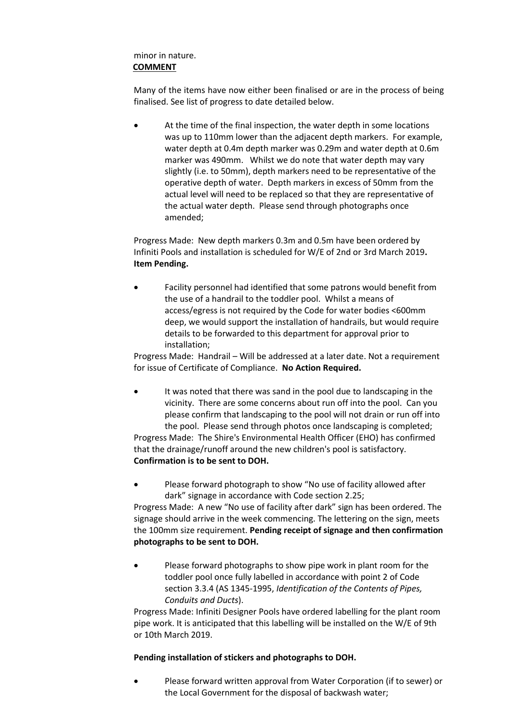# minor in nature. **COMMENT**

Many of the items have now either been finalised or are in the process of being finalised. See list of progress to date detailed below.

 At the time of the final inspection, the water depth in some locations was up to 110mm lower than the adjacent depth markers. For example, water depth at 0.4m depth marker was 0.29m and water depth at 0.6m marker was 490mm. Whilst we do note that water depth may vary slightly (i.e. to 50mm), depth markers need to be representative of the operative depth of water. Depth markers in excess of 50mm from the actual level will need to be replaced so that they are representative of the actual water depth. Please send through photographs once amended;

Progress Made: New depth markers 0.3m and 0.5m have been ordered by Infiniti Pools and installation is scheduled for W/E of 2nd or 3rd March 2019**. Item Pending.**

 Facility personnel had identified that some patrons would benefit from the use of a handrail to the toddler pool. Whilst a means of access/egress is not required by the Code for water bodies <600mm deep, we would support the installation of handrails, but would require details to be forwarded to this department for approval prior to installation;

Progress Made: Handrail – Will be addressed at a later date. Not a requirement for issue of Certificate of Compliance. **No Action Required.**

- It was noted that there was sand in the pool due to landscaping in the vicinity. There are some concerns about run off into the pool. Can you please confirm that landscaping to the pool will not drain or run off into the pool. Please send through photos once landscaping is completed; Progress Made: The Shire's Environmental Health Officer (EHO) has confirmed that the drainage/runoff around the new children's pool is satisfactory. **Confirmation is to be sent to DOH.**
- Please forward photograph to show "No use of facility allowed after dark" signage in accordance with Code section 2.25;

Progress Made: A new "No use of facility after dark" sign has been ordered. The signage should arrive in the week commencing. The lettering on the sign, meets the 100mm size requirement. **Pending receipt of signage and then confirmation photographs to be sent to DOH.**

 Please forward photographs to show pipe work in plant room for the toddler pool once fully labelled in accordance with point 2 of Code section 3.3.4 (AS 1345-1995, *Identification of the Contents of Pipes, Conduits and Ducts*).

Progress Made: Infiniti Designer Pools have ordered labelling for the plant room pipe work. It is anticipated that this labelling will be installed on the W/E of 9th or 10th March 2019.

# **Pending installation of stickers and photographs to DOH.**

 Please forward written approval from Water Corporation (if to sewer) or the Local Government for the disposal of backwash water;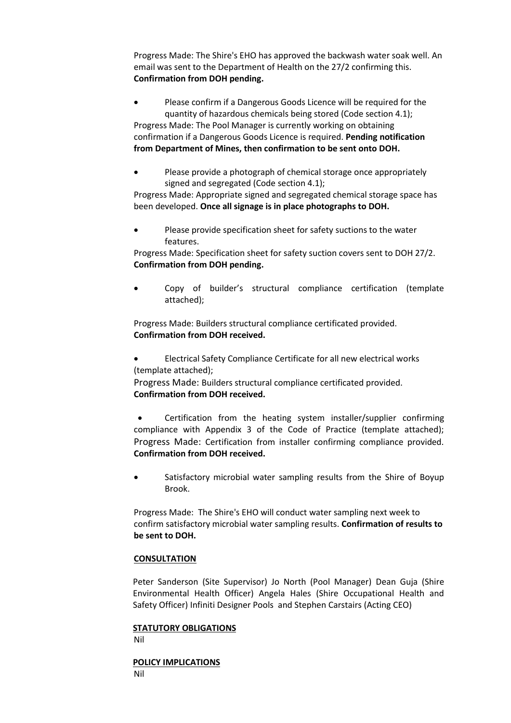Progress Made: The Shire's EHO has approved the backwash water soak well. An email was sent to the Department of Health on the 27/2 confirming this. **Confirmation from DOH pending.**

• Please confirm if a Dangerous Goods Licence will be required for the quantity of hazardous chemicals being stored (Code section 4.1); Progress Made: The Pool Manager is currently working on obtaining confirmation if a Dangerous Goods Licence is required. **Pending notification from Department of Mines, then confirmation to be sent onto DOH.**

 Please provide a photograph of chemical storage once appropriately signed and segregated (Code section 4.1);

Progress Made: Appropriate signed and segregated chemical storage space has been developed. **Once all signage is in place photographs to DOH.**

 Please provide specification sheet for safety suctions to the water features.

Progress Made: Specification sheet for safety suction covers sent to DOH 27/2. **Confirmation from DOH pending.**

 Copy of builder's structural compliance certification (template attached);

Progress Made: Builders structural compliance certificated provided. **Confirmation from DOH received.**

 Electrical Safety Compliance Certificate for all new electrical works (template attached);

Progress Made: Builders structural compliance certificated provided. **Confirmation from DOH received.**

 Certification from the heating system installer/supplier confirming compliance with Appendix 3 of the Code of Practice (template attached); Progress Made: Certification from installer confirming compliance provided. **Confirmation from DOH received.**

 Satisfactory microbial water sampling results from the Shire of Boyup Brook.

Progress Made: The Shire's EHO will conduct water sampling next week to confirm satisfactory microbial water sampling results. **Confirmation of results to be sent to DOH.**

## **CONSULTATION**

Peter Sanderson (Site Supervisor) Jo North (Pool Manager) Dean Guja (Shire Environmental Health Officer) Angela Hales (Shire Occupational Health and Safety Officer) Infiniti Designer Pools and Stephen Carstairs (Acting CEO)

#### **STATUTORY OBLIGATIONS**

Nil

**POLICY IMPLICATIONS** Nil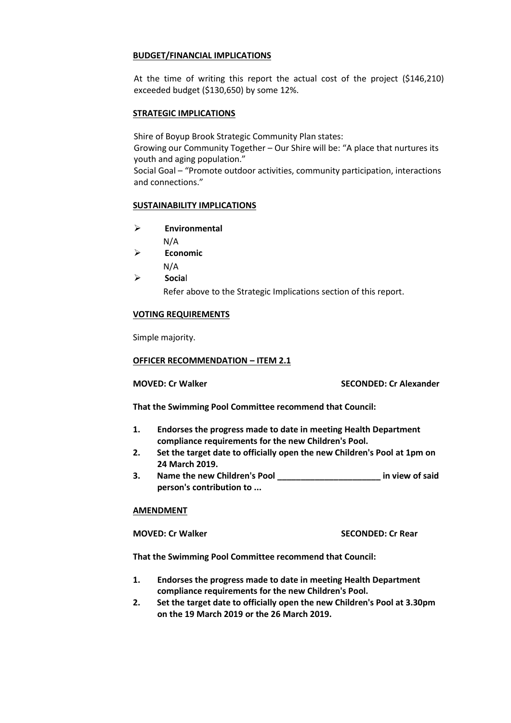## **BUDGET/FINANCIAL IMPLICATIONS**

At the time of writing this report the actual cost of the project (\$146,210) exceeded budget (\$130,650) by some 12%.

## **STRATEGIC IMPLICATIONS**

Shire of Boyup Brook Strategic Community Plan states:

Growing our Community Together – Our Shire will be: "A place that nurtures its youth and aging population."

Social Goal – "Promote outdoor activities, community participation, interactions and connections."

### **SUSTAINABILITY IMPLICATIONS**

- **Environmental**
	- N/A
- **Economic**
	- N/A
- **Socia**l Refer above to the Strategic Implications section of this report.

## **VOTING REQUIREMENTS**

Simple majority.

### **OFFICER RECOMMENDATION – ITEM 2.1**

**MOVED: Cr Walker SECONDED: Cr Alexander**

**That the Swimming Pool Committee recommend that Council:**

- **1. Endorses the progress made to date in meeting Health Department compliance requirements for the new Children's Pool.**
- **2. Set the target date to officially open the new Children's Pool at 1pm on 24 March 2019.**
- **3. Name the new Children's Pool \_\_\_\_\_\_\_\_\_\_\_\_\_\_\_\_\_\_\_\_\_\_ in view of said person's contribution to ...**

#### **AMENDMENT**

**MOVED: Cr Walker SECONDED: Cr Rear**

**That the Swimming Pool Committee recommend that Council:**

- **1. Endorses the progress made to date in meeting Health Department compliance requirements for the new Children's Pool.**
- **2. Set the target date to officially open the new Children's Pool at 3.30pm on the 19 March 2019 or the 26 March 2019.**